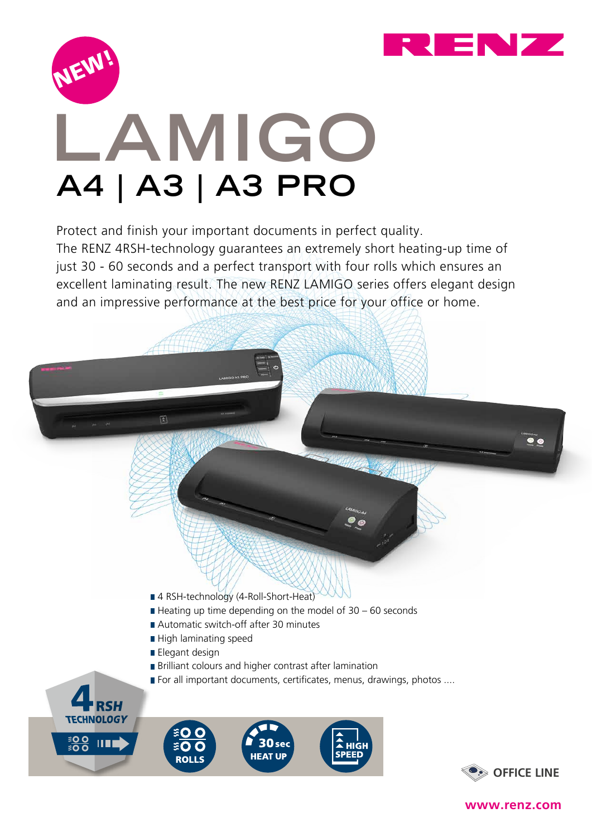



## **LAMIGO A4 | A3 | A3 PRO**

Protect and finish your important documents in perfect quality.

The RENZ 4RSH-technology guarantees an extremely short heating-up time of just 30 - 60 seconds and a perfect transport with four rolls which ensures an excellent laminating result. The new RENZ LAMIGO series offers elegant design and an impressive performance at the best price for your office or home.



**www.renz.com**